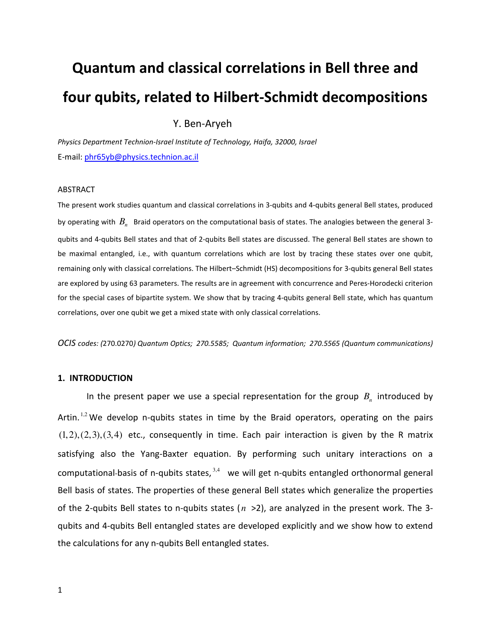# Quantum and classical correlations in Bell three and four qubits, related to Hilbert-Schmidt decompositions

Y. Ben-Aryeh

Physics Department Technion-Israel Institute of Technology, Haifa, 32000, Israel E-mail: phr65yb@physics.technion.ac.il

#### ABSTRACT

The present work studies quantum and classical correlations in 3-qubits and 4-qubits general Bell states, produced by operating with  $B_n^-$  Braid operators on the computational basis of states. The analogies between the general 3qubits and 4-qubits Bell states and that of 2-qubits Bell states are discussed. The general Bell states are shown to be maximal entangled, i.e., with quantum correlations which are lost by tracing these states over one qubit, remaining only with classical correlations. The Hilbert–Schmidt (HS) decompositions for 3-qubits general Bell states are explored by using 63 parameters. The results are in agreement with concurrence and Peres-Horodecki criterion for the special cases of bipartite system. We show that by tracing 4-qubits general Bell state, which has quantum correlations, over one qubit we get a mixed state with only classical correlations.

OCIS codes: (270.0270) Quantum Optics; 270.5585; Quantum information; 270.5565 (Quantum communications)

#### 1. INTRODUCTION

In the present paper we use a special representation for the group  $B_n$  introduced by Artin.  $1,2$  We develop n-qubits states in time by the Braid operators, operating on the pairs  $(1,2),(2,3),(3,4)$  etc., consequently in time. Each pair interaction is given by the R matrix satisfying also the Yang-Baxter equation. By performing such unitary interactions on a computational-basis of n-qubits states,  $3,4$  we will get n-qubits entangled orthonormal general Bell basis of states. The properties of these general Bell states which generalize the properties of the 2-qubits Bell states to n-qubits states ( *n* >2), are analyzed in the present work. The 3 qubits and 4-qubits Bell entangled states are developed explicitly and we show how to extend the calculations for any n-qubits Bell entangled states.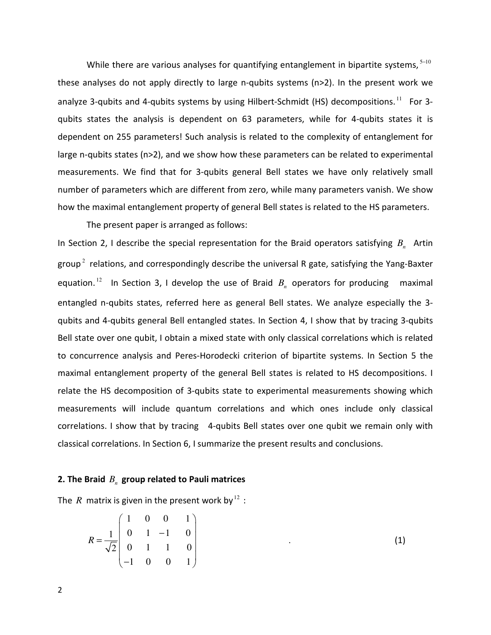While there are various analyses for quantifying entanglement in bipartite systems,  $5-10$ these analyses do not apply directly to large n-qubits systems (n>2). In the present work we analyze 3-qubits and 4-qubits systems by using Hilbert-Schmidt (HS) decompositions.<sup>11</sup> For 3qubits states the analysis is dependent on 63 parameters, while for 4-qubits states it is dependent on 255 parameters! Such analysis is related to the complexity of entanglement for large n-qubits states (n>2), and we show how these parameters can be related to experimental measurements. We find that for 3-qubits general Bell states we have only relatively small number of parameters which are different from zero, while many parameters vanish. We show how the maximal entanglement property of general Bell states is related to the HS parameters.

The present paper is arranged as follows:

In Section 2, I describe the special representation for the Braid operators satisfying  $B_n$  Artin group<sup>2</sup> relations, and correspondingly describe the universal R gate, satisfying the Yang-Baxter equation.<sup>12</sup> In Section 3, I develop the use of Braid  $B<sub>n</sub>$  operators for producing maximal entangled n-qubits states, referred here as general Bell states. We analyze especially the 3 qubits and 4-qubits general Bell entangled states. In Section 4, I show that by tracing 3-qubits Bell state over one qubit, I obtain a mixed state with only classical correlations which is related to concurrence analysis and Peres-Horodecki criterion of bipartite systems. In Section 5 the maximal entanglement property of the general Bell states is related to HS decompositions. I relate the HS decomposition of 3-qubits state to experimental measurements showing which measurements will include quantum correlations and which ones include only classical correlations. I show that by tracing 4-qubits Bell states over one qubit we remain only with classical correlations. In Section 6, I summarize the present results and conclusions.

# **2.** The Braid  $B_n$  group related to Pauli matrices

The *R* matrix is given in the present work by  $12$ :

$$
R = \frac{1}{\sqrt{2}} \begin{pmatrix} 1 & 0 & 0 & 1 \\ 0 & 1 & -1 & 0 \\ 0 & 1 & 1 & 0 \\ -1 & 0 & 0 & 1 \end{pmatrix}
$$
 (1)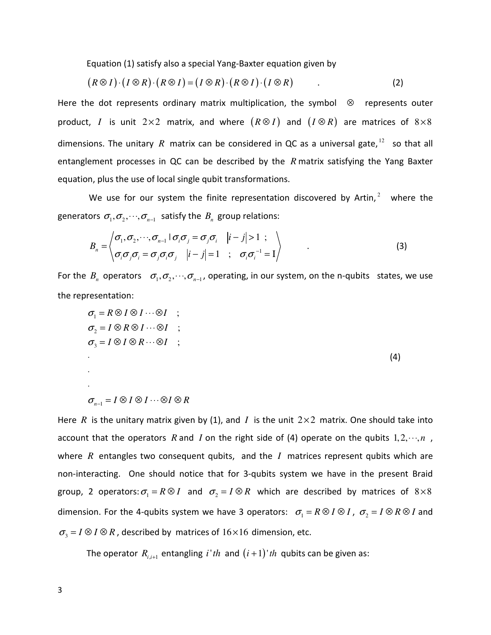Equation (1) satisfy also a special Yang-Baxter equation given by

$$
(R \otimes I) \cdot (I \otimes R) \cdot (R \otimes I) = (I \otimes R) \cdot (R \otimes I) \cdot (I \otimes R) \tag{2}
$$

Here the dot represents ordinary matrix multiplication, the symbol  $\otimes$  represents outer product, *I* is unit  $2 \times 2$  matrix, and where  $(R \otimes I)$  and  $(I \otimes R)$  are matrices of  $8 \times 8$ dimensions. The unitary R matrix can be considered in QC as a universal gate,  $12$  so that all entanglement processes in QC can be described by the *R* matrix satisfying the Yang Baxter equation, plus the use of local single qubit transformations.

We use for our system the finite representation discovered by Artin, $2$  where the generators  $\sigma_1, \sigma_2, \dots, \sigma_{n-1}$  satisfy the  $B_n$  group relations:

$$
B_n = \left\langle \begin{array}{cc} \sigma_1, \sigma_2, \cdots, \sigma_{n-1} \mid \sigma_i \sigma_j = \sigma_j \sigma_i & |i-j| > 1 ; \\ \sigma_i \sigma_j \sigma_i = \sigma_j \sigma_i \sigma_j & |i-j| = 1 & ; \quad \sigma_i \sigma_i^{-1} = I \end{array} \right\rangle \tag{3}
$$

For the  $B_n$  operators  $\sigma_1, \sigma_2, \dots, \sigma_{n-1}$ , operating, in our system, on the n-qubits states, we use the representation:

$$
\sigma_1 = R \otimes I \otimes I \cdots \otimes I \quad ;
$$
  
\n
$$
\sigma_2 = I \otimes R \otimes I \cdots \otimes I \quad ;
$$
  
\n
$$
\sigma_3 = I \otimes I \otimes R \cdots \otimes I \quad ;
$$
  
\n
$$
\tag{4}
$$

Here *R* is the unitary matrix given by (1), and *I* is the unit  $2 \times 2$  matrix. One should take into account that the operators *R* and *I* on the right side of (4) operate on the qubits  $1, 2, \dots, n$ , where *R* entangles two consequent qubits, and the *I* matrices represent qubits which are non-interacting. One should notice that for 3-qubits system we have in the present Braid group, 2 operators:  $\sigma_1 = R \otimes I$  and  $\sigma_2 = I \otimes R$  which are described by matrices of  $8 \times 8$ dimension. For the 4-qubits system we have 3 operators:  $\sigma_1 = R \otimes I \otimes I$ ,  $\sigma_2 = I \otimes R \otimes I$  and  $\sigma_3 = I \otimes I \otimes R$ , described by matrices of 16×16 dimension, etc.

 $\sigma_{n-1} = I \otimes I \otimes I \cdots \otimes I \otimes R$ 

The operator  $R_{i,i+1}$  entangling  $i'th$  and  $(i+1)'th$  qubits can be given as: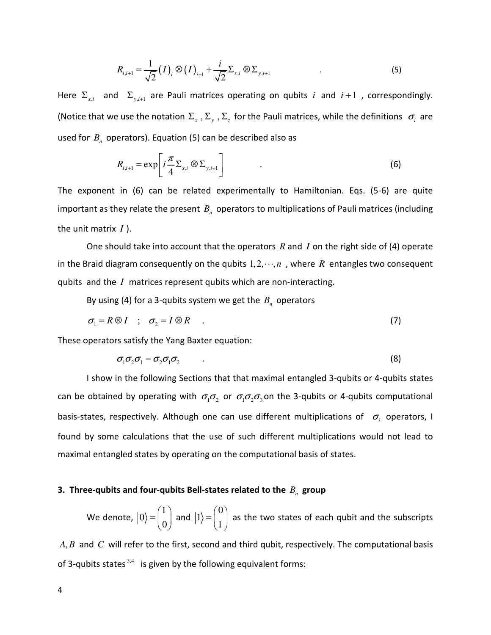$$
R_{i,i+1} = \frac{1}{\sqrt{2}} (I)_i \otimes (I)_{i+1} + \frac{i}{\sqrt{2}} \Sigma_{x,i} \otimes \Sigma_{y,i+1}
$$
 (5)

Here  $\Sigma_{x,i}$  and  $\Sigma_{y,i+1}$  are Pauli matrices operating on qubits *i* and *i* +1, correspondingly. (Notice that we use the notation  $\Sigma_x$ ,  $\Sigma_y$ ,  $\Sigma_z$  for the Pauli matrices, while the definitions  $\sigma_i$  are used for  $B_n$  operators). Equation (5) can be described also as

$$
R_{i,i+1} = \exp\left[i\frac{\pi}{4}\Sigma_{x,i}\otimes\Sigma_{y,i+1}\right]
$$
 (6)

The exponent in (6) can be related experimentally to Hamiltonian. Eqs. (5-6) are quite important as they relate the present  $B_n$  operators to multiplications of Pauli matrices (including the unit matrix *I* ).

 One should take into account that the operators *R* and *I* on the right side of (4) operate in the Braid diagram consequently on the qubits  $1, 2, \dots, n$ , where R entangles two consequent qubits and the *I* matrices represent qubits which are non-interacting.

By using (4) for a 3-qubits system we get the  $B_n$  operators

$$
\sigma_1 = R \otimes I \quad ; \quad \sigma_2 = I \otimes R \quad . \tag{7}
$$

These operators satisfy the Yang Baxter equation:

$$
\sigma_1 \sigma_2 \sigma_1 = \sigma_2 \sigma_1 \sigma_2 \tag{8}
$$

 I show in the following Sections that that maximal entangled 3-qubits or 4-qubits states can be obtained by operating with  $\sigma_1 \sigma_2$  or  $\sigma_1 \sigma_2 \sigma_3$  on the 3-qubits or 4-qubits computational basis-states, respectively. Although one can use different multiplications of  $\sigma_i$  operators, I found by some calculations that the use of such different multiplications would not lead to maximal entangled states by operating on the computational basis of states.

# 3. Three-qubits and four-qubits Bell-states related to the  $B_n$  group

 We denote, 1 0 0  $(1)$  $=\begin{pmatrix} 1 \\ 0 \end{pmatrix}$  and 0 1 1  $(0)$  $=\begin{pmatrix} 0 \\ 1 \end{pmatrix}$  as the two states of each qubit and the subscripts

*A B*, and *C* will refer to the first, second and third qubit, respectively. The computational basis of 3-qubits states  $3,4$  is given by the following equivalent forms: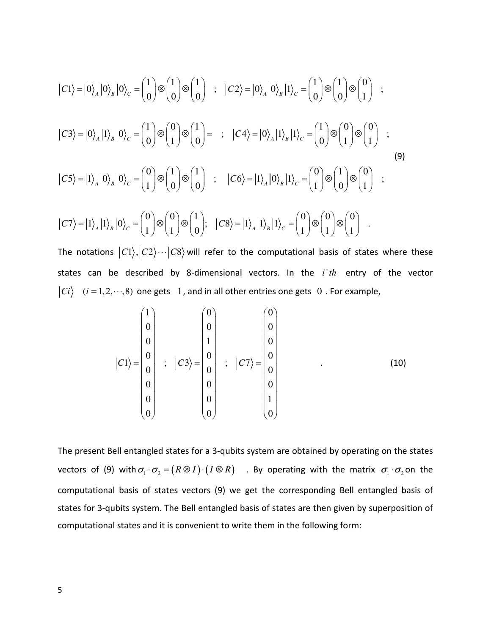$$
|C1\rangle = |0\rangle_A |0\rangle_B |0\rangle_C = \begin{pmatrix} 1 \\ 0 \end{pmatrix} \otimes \begin{pmatrix} 1 \\ 0 \end{pmatrix} \otimes \begin{pmatrix} 1 \\ 0 \end{pmatrix} ; \quad |C2\rangle = |0\rangle_A |0\rangle_B |1\rangle_C = \begin{pmatrix} 1 \\ 0 \end{pmatrix} \otimes \begin{pmatrix} 0 \\ 0 \end{pmatrix} ;
$$
  
\n
$$
|C3\rangle = |0\rangle_A |1\rangle_B |0\rangle_C = \begin{pmatrix} 1 \\ 0 \end{pmatrix} \otimes \begin{pmatrix} 0 \\ 1 \end{pmatrix} \otimes \begin{pmatrix} 1 \\ 0 \end{pmatrix} = ; \quad |C4\rangle = |0\rangle_A |1\rangle_B |1\rangle_C = \begin{pmatrix} 1 \\ 0 \end{pmatrix} \otimes \begin{pmatrix} 0 \\ 1 \end{pmatrix} \otimes \begin{pmatrix} 0 \\ 1 \end{pmatrix} ;
$$
  
\n
$$
|C5\rangle = |1\rangle_A |0\rangle_B |0\rangle_C = \begin{pmatrix} 0 \\ 1 \end{pmatrix} \otimes \begin{pmatrix} 1 \\ 0 \end{pmatrix} \otimes \begin{pmatrix} 1 \\ 0 \end{pmatrix} ; \quad |C6\rangle = |1\rangle_A |0\rangle_B |1\rangle_C = \begin{pmatrix} 0 \\ 1 \end{pmatrix} \otimes \begin{pmatrix} 1 \\ 0 \end{pmatrix} \otimes \begin{pmatrix} 0 \\ 1 \end{pmatrix} ;
$$
  
\n
$$
|C7\rangle = |1\rangle_A |1\rangle_B |0\rangle_C = \begin{pmatrix} 0 \\ 1 \end{pmatrix} \otimes \begin{pmatrix} 0 \\ 1 \end{pmatrix} \otimes \begin{pmatrix} 1 \\ 0 \end{pmatrix} ; \quad |C8\rangle = |1\rangle_A |1\rangle_B |1\rangle_C = \begin{pmatrix} 0 \\ 1 \end{pmatrix} \otimes \begin{pmatrix} 0 \\ 1 \end{pmatrix} \otimes \begin{pmatrix} 0 \\ 1 \end{pmatrix} .
$$
  
\n(9)

The notations  $|C1\rangle,|C2\rangle\cdots|C8\rangle$  will refer to the computational basis of states where these states can be described by 8-dimensional vectors. In the *i th*' entry of the vector  $|Ci\rangle$   $(i = 1, 2, \dots, 8)$  one gets 1, and in all other entries one gets 0. For example,

$$
|C1\rangle = \begin{pmatrix} 1 \\ 0 \\ 0 \\ 0 \\ 0 \\ 0 \\ 0 \\ 0 \end{pmatrix} ; \quad |C3\rangle = \begin{pmatrix} 0 \\ 0 \\ 1 \\ 0 \\ 0 \\ 0 \\ 0 \\ 0 \end{pmatrix} ; \quad |C7\rangle = \begin{pmatrix} 0 \\ 0 \\ 0 \\ 0 \\ 0 \\ 0 \\ 1 \\ 0 \end{pmatrix} . \tag{10}
$$

The present Bell entangled states for a 3-qubits system are obtained by operating on the states vectors of (9) with  $\sigma_1 \cdot \sigma_2 = (R \otimes I) \cdot (I \otimes R)$  . By operating with the matrix  $\sigma_1 \cdot \sigma_2$  on the computational basis of states vectors (9) we get the corresponding Bell entangled basis of states for 3-qubits system. The Bell entangled basis of states are then given by superposition of computational states and it is convenient to write them in the following form: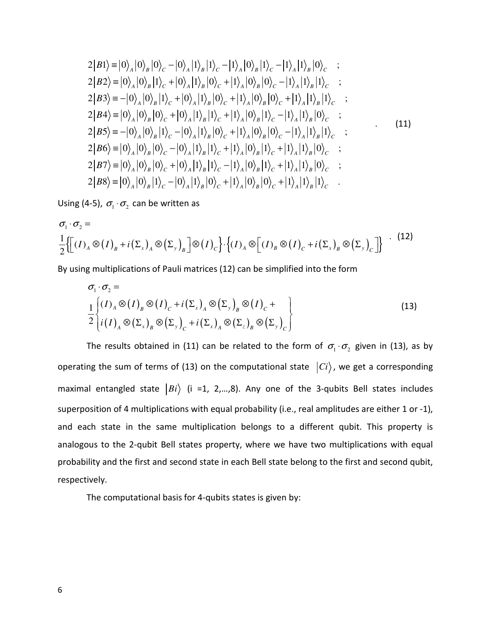$$
2|B1\rangle \equiv |0\rangle_{A}|0\rangle_{B}|0\rangle_{C} - |0\rangle_{A}|1\rangle_{B}|1\rangle_{C} - |1\rangle_{A}|0\rangle_{B}|1\rangle_{C} - |1\rangle_{A}|1\rangle_{B}|0\rangle_{C} ;\n2|B2\rangle \equiv |0\rangle_{A}|0\rangle_{B}|1\rangle_{C} + |0\rangle_{A}|1\rangle_{B}|0\rangle_{C} + |1\rangle_{A}|0\rangle_{B}|0\rangle_{C} - |1\rangle_{A}|1\rangle_{B}|1\rangle_{C} ;\n2|B3\rangle \equiv -|0\rangle_{A}|0\rangle_{B}|1\rangle_{C} + |0\rangle_{A}|1\rangle_{B}|0\rangle_{C} + |1\rangle_{A}|0\rangle_{B}|0\rangle_{C} + |1\rangle_{A}|1\rangle_{B}|1\rangle_{C} ;\n2|B4\rangle \equiv |0\rangle_{A}|0\rangle_{B}|0\rangle_{C} + |0\rangle_{A}|1\rangle_{B}|1\rangle_{C} + |1\rangle_{A}|0\rangle_{B}|1\rangle_{C} - |1\rangle_{A}|1\rangle_{B}|0\rangle_{C} ;\n2|B5\rangle \equiv -|0\rangle_{A}|0\rangle_{B}|1\rangle_{C} - |0\rangle_{A}|1\rangle_{B}|0\rangle_{C} + |1\rangle_{A}|0\rangle_{B}|0\rangle_{C} - |1\rangle_{A}|1\rangle_{B}|1\rangle_{C} ;\n2|B6\rangle \equiv |0\rangle_{A}|0\rangle_{B}|0\rangle_{C} - |0\rangle_{A}|1\rangle_{B}|1\rangle_{C} + |1\rangle_{A}|0\rangle_{B}|1\rangle_{C} + |1\rangle_{A}|1\rangle_{B}|0\rangle_{C} ;\n2|B7\rangle \equiv |0\rangle_{A}|0\rangle_{B}|0\rangle_{C} + |0\rangle_{A}|1\rangle_{B}|1\rangle_{C} - |1\rangle_{A}|0\rangle_{B}|1\rangle_{C} + |1\rangle_{A}|1\rangle_{B}|0\rangle_{C} ;\n2|B8\rangle \equiv |0\rangle_{A}|0\rangle_{B}|1\rangle_{C} - |0\rangle_{A}|1\rangle_{B}|0\rangle_{C} + |1\rangle_{A}|0\rangle_{B}|0\rangle_{C} + |1\rangle_{A}|1\rangle_{B}|1\rangle_{C} .
$$

Using (4-5),  $\sigma_1 \cdot \sigma_2$  can be written as

$$
\sigma_1 \cdot \sigma_2 = \frac{1}{2} \left\{ \left[ (I)_A \otimes (I)_B + i (\Sigma_x)_A \otimes (\Sigma_y)_B \right] \otimes (I)_C \right\} \cdot \left\{ (I)_A \otimes \left[ (I)_B \otimes (I)_C + i (\Sigma_x)_B \otimes (\Sigma_y)_C \right] \right\} \quad (12)
$$

By using multiplications of Pauli matrices (12) can be simplified into the form

$$
\sigma_1 \cdot \sigma_2 = \frac{1}{2} \left\{ (I)_A \otimes (I)_B \otimes (I)_C + i (\Sigma_x)_A \otimes (\Sigma_y)_B \otimes (I)_C + \frac{1}{2} \left\{ i (I)_A \otimes (\Sigma_x)_B \otimes (\Sigma_y)_C + i (\Sigma_x)_A \otimes (\Sigma_z)_B \otimes (\Sigma_y)_C \right\} \right\}
$$
\n(13)

The results obtained in (11) can be related to the form of  $\sigma_1 \cdot \sigma_2$  given in (13), as by operating the sum of terms of (13) on the computational state  $|Ci\rangle$ , we get a corresponding maximal entangled state  $|Bi\rangle$  (i =1, 2,...,8). Any one of the 3-qubits Bell states includes superposition of 4 multiplications with equal probability (i.e., real amplitudes are either 1 or -1), and each state in the same multiplication belongs to a different qubit. This property is analogous to the 2-qubit Bell states property, where we have two multiplications with equal probability and the first and second state in each Bell state belong to the first and second qubit, respectively.

The computational basis for 4-qubits states is given by: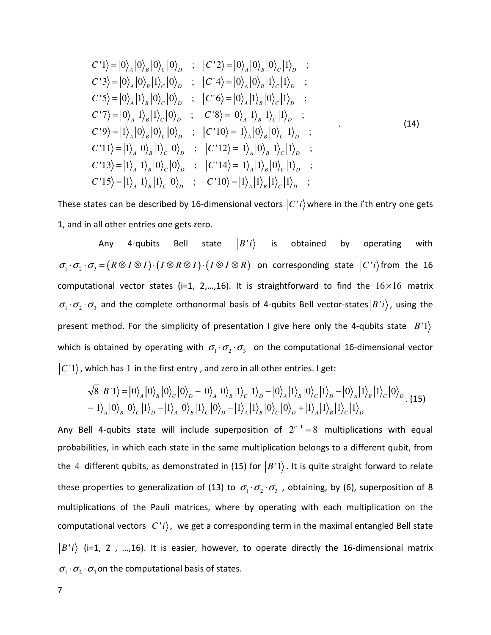$$
|C'1\rangle = |0\rangle_A |0\rangle_B |0\rangle_C |0\rangle_D ; |C'2\rangle = |0\rangle_A |0\rangle_B |0\rangle_C |1\rangle_D ;|C'3\rangle = |0\rangle_A |0\rangle_B |1\rangle_C |0\rangle_D ; |C'4\rangle = |0\rangle_A |0\rangle_B |1\rangle_C |1\rangle_D ;|C'5\rangle = |0\rangle_A |1\rangle_B |0\rangle_C |0\rangle_D ; |C'6\rangle = |0\rangle_A |1\rangle_B |0\rangle_C |1\rangle_D ;|C'7\rangle = |0\rangle_A |1\rangle_B |1\rangle_C |0\rangle_D ; |C'8\rangle = |0\rangle_A |1\rangle_B |1\rangle_C |1\rangle_D ;|C'9\rangle = |1\rangle_A |0\rangle_B |0\rangle_C |0\rangle_D ; |C'10\rangle = |1\rangle_A |0\rangle_B |0\rangle_C |1\rangle_D ;|C'11\rangle = |1\rangle_A |0\rangle_B |1\rangle_C |0\rangle_D ; |C'12\rangle = |1\rangle_A |0\rangle_B |1\rangle_C |1\rangle_D ;|C'13\rangle = |1\rangle_A |1\rangle_B |0\rangle_C |0\rangle_D ; |C'14\rangle = |1\rangle_A |1\rangle_B |0\rangle_C |1\rangle_D ;|C'15\rangle = |1\rangle_A |1\rangle_B |1\rangle_C |0\rangle_D ; |C'10\rangle = |1\rangle_A |1\rangle_B |1\rangle_C |1\rangle_D ;|C'15\rangle = |1\rangle_A |1\rangle_B |1\rangle_C |0\rangle_D ; |C'10\rangle = |1\rangle_A |1\rangle_B |1\rangle_C |1\rangle_D ;
$$

These states can be described by 16-dimensional vectors  $|C'i\rangle$  where in the i'th entry one gets 1, and in all other entries one gets zero.

Any 4-qubits Bell state  $|B'i\rangle$  is obtained by operating with  $\sigma_1 \cdot \sigma_2 \cdot \sigma_3 = (R \otimes I \otimes I) \cdot (I \otimes R \otimes I) \cdot (I \otimes I \otimes R)$  on corresponding state  $|C(i)\rangle$  from the 16 computational vector states (i=1, 2,...,16). It is straightforward to find the  $16\times16$  matrix  $\sigma_1 \cdot \sigma_2 \cdot \sigma_3$  and the complete orthonormal basis of 4-qubits Bell vector-states  $|B|i\rangle$ , using the present method. For the simplicity of presentation I give here only the 4-qubits state  $|B|$ <sup>1</sup>) which is obtained by operating with  $\sigma_1 \cdot \sigma_2 \cdot \sigma_3$  on the computational 16-dimensional vector  $|C|$ , which has 1 in the first entry, and zero in all other entries. I get:

$$
\sqrt{8|B'1\rangle} = |0\rangle_A |0\rangle_B |0\rangle_C |0\rangle_D - |0\rangle_A |0\rangle_B |1\rangle_C |1\rangle_D - |0\rangle_A |1\rangle_B |0\rangle_C |1\rangle_D - |0\rangle_A |1\rangle_B |1\rangle_C |0\rangle_D.
$$
\n
$$
-|1\rangle_A |0\rangle_B |0\rangle_C |1\rangle_D - |1\rangle_A |0\rangle_B |1\rangle_C |0\rangle_D - |1\rangle_A |1\rangle_B |0\rangle_C |0\rangle_D + |1\rangle_A |1\rangle_B |1\rangle_C |1\rangle_D.
$$
\n(15)

Any Bell 4-qubits state will include superposition of  $2^{n-1} = 8$  multiplications with equal probabilities, in which each state in the same multiplication belongs to a different qubit, from the 4 different qubits, as demonstrated in (15) for  $|B|$ . It is quite straight forward to relate these properties to generalization of (13) to  $\sigma_1 \cdot \sigma_2 \cdot \sigma_3$ , obtaining, by (6), superposition of 8 multiplications of the Pauli matrices, where by operating with each multiplication on the computational vectors  $|C'i\rangle$ , we get a corresponding term in the maximal entangled Bell state  $\ket{B'i}$  (i=1, 2, ...,16). It is easier, however, to operate directly the 16-dimensional matrix  $\sigma_1 \cdot \sigma_2 \cdot \sigma_3$  on the computational basis of states.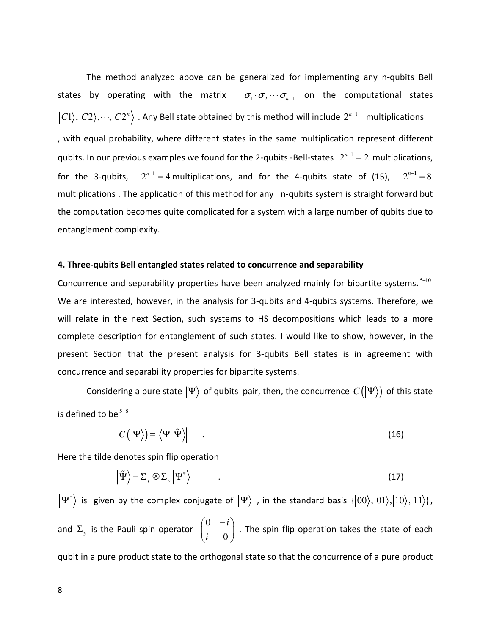The method analyzed above can be generalized for implementing any n-qubits Bell states by operating with the matrix  $\sigma_1 \cdot \sigma_2 \cdots \sigma_{n-1}$  on the computational states  $|C1\rangle,|C2\rangle,\cdots,|C2^n\rangle$  . Any Bell state obtained by this method will include  $2^{n-1}$  multiplications , with equal probability, where different states in the same multiplication represent different qubits. In our previous examples we found for the 2-qubits -Bell-states  $2^{n-1} = 2$  multiplications, for the 3-qubits, <sup>1</sup>  $2^{n-1} = 4$  multiplications, and for the 4-qubits state of (15),  $2^{n-1} = 8$ multiplications . The application of this method for any n-qubits system is straight forward but the computation becomes quite complicated for a system with a large number of qubits due to entanglement complexity.

## 4. Three-qubits Bell entangled states related to concurrence and separability

Concurrence and separability properties have been analyzed mainly for bipartite systems.<sup>5-10</sup> We are interested, however, in the analysis for 3-qubits and 4-qubits systems. Therefore, we will relate in the next Section, such systems to HS decompositions which leads to a more complete description for entanglement of such states. I would like to show, however, in the present Section that the present analysis for 3-qubits Bell states is in agreement with concurrence and separability properties for bipartite systems.

Considering a pure state  $|\Psi\rangle$  of qubits pair, then, the concurrence  $C(|\Psi\rangle)$  of this state is defined to be  $5-8$ 

$$
C(|\Psi\rangle) = |\langle \Psi | \tilde{\Psi} \rangle| \tag{16}
$$

Here the tilde denotes spin flip operation

$$
\left| \tilde{\Psi} \right\rangle = \Sigma_{y} \otimes \Sigma_{y} \left| \Psi^{*} \right\rangle \tag{17}
$$

 $\ket{\Psi^*}$  is given by the complex conjugate of  $\ket{\Psi}$  , in the standard basis  $\{ |00\rangle, |01\rangle, |10\rangle, |11\rangle \}$ , and  $\Sigma_{y}$  is the Pauli spin operator 0 0 *i i*  $(0 -i)$  $\begin{pmatrix} 0 & 0 \end{pmatrix}$ . The spin flip operation takes the state of each qubit in a pure product state to the orthogonal state so that the concurrence of a pure product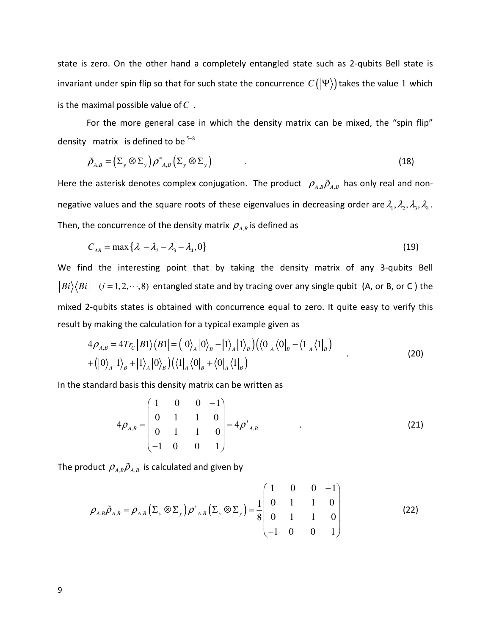state is zero. On the other hand a completely entangled state such as 2-qubits Bell state is invariant under spin flip so that for such state the concurrence  $C(|\Psi\rangle)$  takes the value 1 which is the maximal possible value of*C* .

For the more general case in which the density matrix can be mixed, the "spin flip" density matrix is defined to be  $5-8$ 

$$
\tilde{\rho}_{A,B} = \left(\Sigma_{y} \otimes \Sigma_{y}\right) \rho^{*}_{A,B} \left(\Sigma_{y} \otimes \Sigma_{y}\right) \tag{18}
$$

Here the asterisk denotes complex conjugation. The product  $\langle \rho_{A,B} \tilde{\rho}_{A,B} \rangle$  has only real and nonnegative values and the square roots of these eigenvalues in decreasing order are  $\lambda_1, \lambda_2, \lambda_3, \lambda_4$ . Then, the concurrence of the density matrix  $\rho_{_{A,B}}$  is defined as

$$
C_{AB} = \max\{\lambda_1 - \lambda_2 - \lambda_3 - \lambda_4, 0\}
$$
\n(19)

We find the interesting point that by taking the density matrix of any 3-qubits Bell  $|Bi\rangle\langle Bi|$  (*i* = 1, 2, . . ., 8) entangled state and by tracing over any single qubit (A, or B, or C) the mixed 2-qubits states is obtained with concurrence equal to zero. It quite easy to verify this result by making the calculation for a typical example given as

$$
4\rho_{A,B} = 4Tr_C|B1\rangle\langle B1| = (|0\rangle_A|0\rangle_B - |1\rangle_A|1\rangle_B)(\langle 0|_A\langle 0|_B - \langle 1|_A\langle 1|_B)
$$
  
+  $(|0\rangle_A|1\rangle_B + |1\rangle_A|0\rangle_B)(\langle 1|_A\langle 0|_B + \langle 0|_A\langle 1|_B)$  (20)

In the standard basis this density matrix can be written as

$$
4\rho_{A,B} = \begin{pmatrix} 1 & 0 & 0 & -1 \\ 0 & 1 & 1 & 0 \\ 0 & 1 & 1 & 0 \\ -1 & 0 & 0 & 1 \end{pmatrix} = 4\rho_{A,B}^* \tag{21}
$$

The product  $\rho_{_{A,B}}\tilde{\rho}_{_{A,B}}$  is calculated and given by

$$
\rho_{A,B}\tilde{\rho}_{A,B} = \rho_{A,B}\left(\Sigma_{y}\otimes\Sigma_{y}\right)\rho^{*}_{A,B}\left(\Sigma_{y}\otimes\Sigma_{y}\right) = \frac{1}{8}\begin{pmatrix} 1 & 0 & 0 & -1 \\ 0 & 1 & 1 & 0 \\ 0 & 1 & 1 & 0 \\ -1 & 0 & 0 & 1 \end{pmatrix}
$$
(22)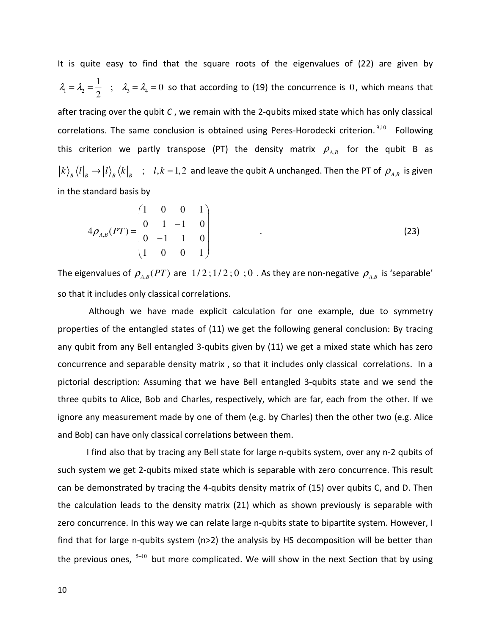It is quite easy to find that the square roots of the eigenvalues of (22) are given by  $1 - \frac{1}{2} - \frac{1}{2}$ ,  $\frac{1}{3} - \frac{1}{4}$  $\frac{1}{2}$  ;  $\lambda_3 = \lambda_4 = 0$ 2  $\lambda_1 = \lambda_2 = \frac{1}{2}$ ;  $\lambda_3 = \lambda_4 = 0$  so that according to (19) the concurrence is 0, which means that after tracing over the qubit  $C$ , we remain with the 2-qubits mixed state which has only classical correlations. The same conclusion is obtained using Peres-Horodecki criterion.<sup>9,10</sup> Following this criterion we partly transpose (PT) the density matrix  $\rho_{_{A,B}}$  for the qubit B as  $k\big>_B\big< l\big|_B\to\big| l\big>_B\big< k\big|_B\quad;\quad l,k=1,2\;\text{ and leave the qubit A unchanged. Then the PT of }\;\rho_{_{A,B}}\text{ is given}\;.$ in the standard basis by

$$
4\rho_{A,B}(PT) = \begin{pmatrix} 1 & 0 & 0 & 1 \\ 0 & 1 & -1 & 0 \\ 0 & -1 & 1 & 0 \\ 1 & 0 & 0 & 1 \end{pmatrix}
$$
 (23)

The eigenvalues of  $\rho_{A,B}(PT)$  are  $1/2$ ; $1/2$ ; $0$ ; $0$ . As they are non-negative  $\rho_{_{A,B}}$  is 'separable' so that it includes only classical correlations.

 Although we have made explicit calculation for one example, due to symmetry properties of the entangled states of (11) we get the following general conclusion: By tracing any qubit from any Bell entangled 3-qubits given by (11) we get a mixed state which has zero concurrence and separable density matrix , so that it includes only classical correlations. In a pictorial description: Assuming that we have Bell entangled 3-qubits state and we send the three qubits to Alice, Bob and Charles, respectively, which are far, each from the other. If we ignore any measurement made by one of them (e.g. by Charles) then the other two (e.g. Alice and Bob) can have only classical correlations between them.

 I find also that by tracing any Bell state for large n-qubits system, over any n-2 qubits of such system we get 2-qubits mixed state which is separable with zero concurrence. This result can be demonstrated by tracing the 4-qubits density matrix of (15) over qubits C, and D. Then the calculation leads to the density matrix (21) which as shown previously is separable with zero concurrence. In this way we can relate large n-qubits state to bipartite system. However, I find that for large n-qubits system ( $n>2$ ) the analysis by HS decomposition will be better than the previous ones,  $5-10$  but more complicated. We will show in the next Section that by using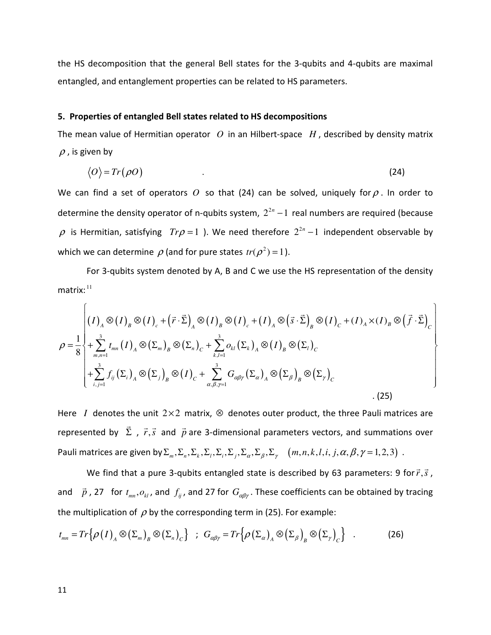the HS decomposition that the general Bell states for the 3-qubits and 4-qubits are maximal entangled, and entanglement properties can be related to HS parameters.

## 5. Properties of entangled Bell states related to HS decompositions

The mean value of Hermitian operator *O* in an Hilbert-space *H* , described by density matrix  $\rho$  , is given by

$$
\langle O \rangle = Tr(\rho O) \tag{24}
$$

We can find a set of operators  $O$  so that (24) can be solved, uniquely for  $\rho$ . In order to determine the density operator of n-qubits system,  $2^{2n} - 1$  real numbers are required (because  $\rho$  is Hermitian, satisfying  $Tr \rho = 1$  ). We need therefore  $2^{2n} - 1$  independent observable by which we can determine  $\rho$  (and for pure states  $tr(\rho^2)$  = 1).

 For 3-qubits system denoted by A, B and C we use the HS representation of the density  $matrix:$ <sup>11</sup>

$$
\rho = \frac{1}{8} \left\{ \sum_{m,n=1}^{3} t_{mn} (I)_A \otimes (I)_e + (\vec{r} \cdot \vec{\Sigma})_A \otimes (I)_B \otimes (I)_c + (I)_A \otimes (\vec{s} \cdot \vec{\Sigma})_B \otimes (I)_C + (I)_A \times (I)_B \otimes (\vec{f} \cdot \vec{\Sigma})_C \right\}
$$
\n
$$
\rho = \frac{1}{8} \left\{ \sum_{m,n=1}^{3} t_{mn} (I)_A \otimes (\Sigma_m)_B \otimes (\Sigma_n)_C + \sum_{k,l=1}^{3} o_{kl} (\Sigma_k)_A \otimes (I)_B \otimes (\Sigma_l)_C + \sum_{k,l=1}^{3} f_{ij} (\Sigma_i)_A \otimes (\Sigma_j)_B \otimes (I)_C + \sum_{\alpha,\beta,\gamma=1}^{3} G_{\alpha\beta\gamma} (\Sigma_\alpha)_A \otimes (\Sigma_\beta)_B \otimes (\Sigma_\gamma)_C \right\}
$$
\n(25)

Here *I* denotes the unit  $2 \times 2$  matrix,  $\otimes$  denotes outer product, the three Pauli matrices are represented by  $\Sigma$  $\vec{\Sigma}$  ,  $\vec{r}, \vec{s}$  $\rightarrow$ and  $\vec{p}$  $\vec{p}$  are 3-dimensional parameters vectors, and summations over Pauli matrices are given by  $\Sigma_m$ ,  $\Sigma_n$ ,  $\Sigma_k$ ,  $\Sigma_i$ ,  $\Sigma_j$ ,  $\Sigma_\alpha$ ,  $\Sigma_\beta$ ,  $\Sigma_\gamma$   $(m, n, k, l, i, j, \alpha, \beta, \gamma = 1, 2, 3)$ .

We find that a pure 3-qubits entangled state is described by 63 parameters: 9 for  $\vec{r}, \vec{s}$  $\vec{r}, \vec{s}$  , and  $\vec{p}$  $\vec{p}$  , 27 for  $t_{mn}, o_{kl}$ , and  $f_{ij}$ , and 27 for  $G_{\alpha\beta\gamma}$ . These coefficients can be obtained by tracing the multiplication of  $\rho$  by the corresponding term in (25). For example:

$$
t_{mn} = Tr \{ \rho(I)_A \otimes (\Sigma_m)_B \otimes (\Sigma_n)_C \} ; G_{\alpha\beta\gamma} = Tr \{ \rho(\Sigma_\alpha)_A \otimes (\Sigma_\beta)_B \otimes (\Sigma_\gamma)_C \} .
$$
 (26)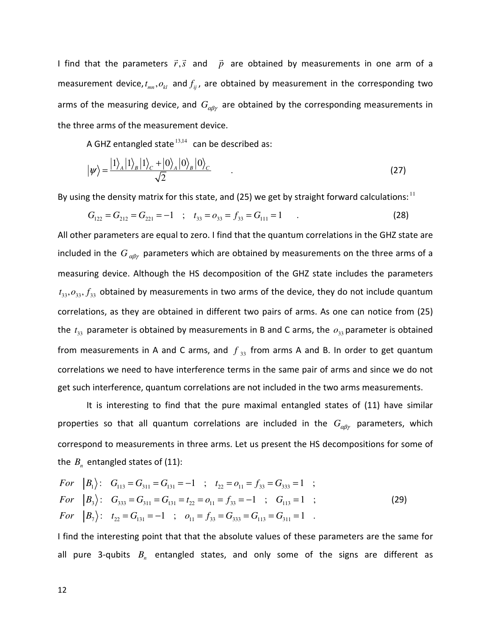I find that the parameters  $\vec{r}, \vec{s}$  $\rightarrow$ and  $\vec{p}$  $\vec{p}$  are obtained by measurements in one arm of a measurement device,  $t_{mn}, o_{kl}$  and  $f_{ij}$ , are obtained by measurement in the corresponding two arms of the measuring device, and  $G_{\alpha\beta\gamma}$  are obtained by the corresponding measurements in the three arms of the measurement device.

A GHZ entangled state  $13,14$  can be described as:

$$
|\psi\rangle = \frac{|1\rangle_A |1\rangle_B |1\rangle_C + |0\rangle_A |0\rangle_B |0\rangle_C}{\sqrt{2}} \tag{27}
$$

By using the density matrix for this state, and (25) we get by straight forward calculations:  $11$ 

$$
G_{122} = G_{212} = G_{221} = -1 \quad ; \quad t_{33} = o_{33} = f_{33} = G_{111} = 1 \tag{28}
$$

All other parameters are equal to zero. I find that the quantum correlations in the GHZ state are included in the  $G_{\alpha\beta\gamma}$  parameters which are obtained by measurements on the three arms of a measuring device. Although the HS decomposition of the GHZ state includes the parameters  $t_{33}, o_{33}, f_{33}$  obtained by measurements in two arms of the device, they do not include quantum correlations, as they are obtained in different two pairs of arms. As one can notice from (25) the  $t_{33}$  parameter is obtained by measurements in B and C arms, the  $o_{33}$  parameter is obtained from measurements in A and C arms, and  $f_{33}$  from arms A and B. In order to get quantum correlations we need to have interference terms in the same pair of arms and since we do not get such interference, quantum correlations are not included in the two arms measurements.

It is interesting to find that the pure maximal entangled states of (11) have similar properties so that all quantum correlations are included in the  $G_{\alpha\beta\gamma}$  parameters, which correspond to measurements in three arms. Let us present the HS decompositions for some of the  $B_n$  entangled states of  $(11)$ :

For 
$$
|B_1\rangle
$$
:  $G_{113} = G_{311} = G_{131} = -1$ ;  $t_{22} = o_{11} = f_{33} = G_{333} = 1$ ;  
\nFor  $|B_3\rangle$ :  $G_{333} = G_{311} = G_{131} = t_{22} = o_{11} = f_{33} = -1$ ;  $G_{113} = 1$ ;  
\nFor  $|B_7\rangle$ :  $t_{22} = G_{131} = -1$ ;  $o_{11} = f_{33} = G_{333} = G_{113} = G_{311} = 1$ . (29)

I find the interesting point that that the absolute values of these parameters are the same for all pure 3-qubits  $B_n$  entangled states, and only some of the signs are different as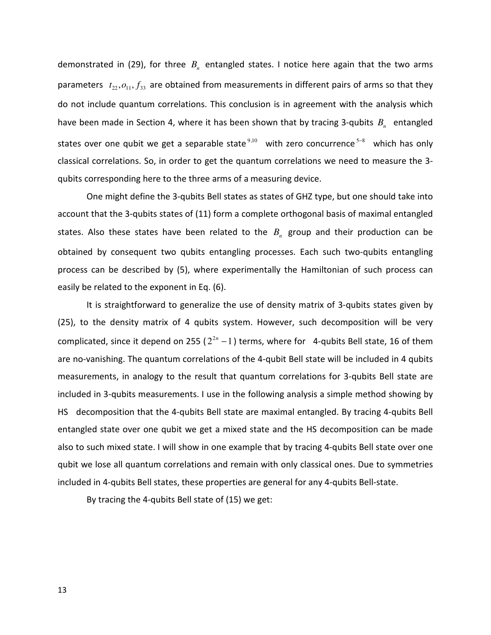demonstrated in (29), for three  $B<sub>n</sub>$  entangled states. I notice here again that the two arms parameters  $t_{22}, o_{11}, f_{33}$  are obtained from measurements in different pairs of arms so that they do not include quantum correlations. This conclusion is in agreement with the analysis which have been made in Section 4, where it has been shown that by tracing 3-qubits  $B_n$  entangled states over one qubit we get a separable state<sup>9,10</sup> with zero concurrence<sup>5–8</sup> which has only classical correlations. So, in order to get the quantum correlations we need to measure the 3 qubits corresponding here to the three arms of a measuring device.

 One might define the 3-qubits Bell states as states of GHZ type, but one should take into account that the 3-qubits states of (11) form a complete orthogonal basis of maximal entangled states. Also these states have been related to the  $B<sub>n</sub>$  group and their production can be obtained by consequent two qubits entangling processes. Each such two-qubits entangling process can be described by (5), where experimentally the Hamiltonian of such process can easily be related to the exponent in Eq. (6).

 It is straightforward to generalize the use of density matrix of 3-qubits states given by (25), to the density matrix of 4 qubits system. However, such decomposition will be very complicated, since it depend on 255 ( $2^{2n}-1$ ) terms, where for 4-qubits Bell state, 16 of them are no-vanishing. The quantum correlations of the 4-qubit Bell state will be included in 4 qubits measurements, in analogy to the result that quantum correlations for 3-qubits Bell state are included in 3-qubits measurements. I use in the following analysis a simple method showing by HS decomposition that the 4-qubits Bell state are maximal entangled. By tracing 4-qubits Bell entangled state over one qubit we get a mixed state and the HS decomposition can be made also to such mixed state. I will show in one example that by tracing 4-qubits Bell state over one qubit we lose all quantum correlations and remain with only classical ones. Due to symmetries included in 4-qubits Bell states, these properties are general for any 4-qubits Bell-state.

By tracing the 4-qubits Bell state of (15) we get:

13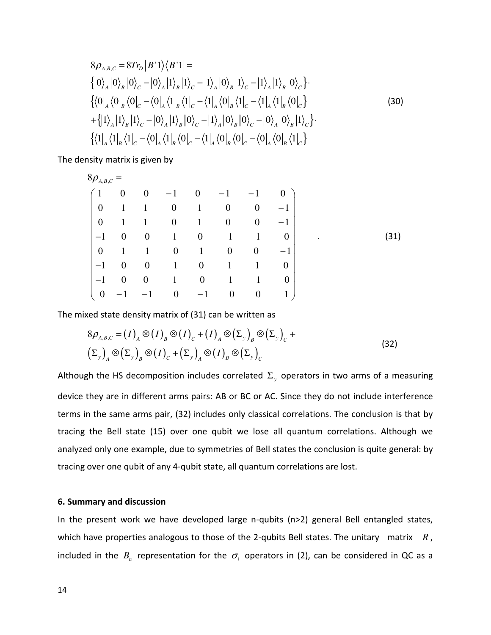$$
8\rho_{A,B,C} = 8Tr_D |B'1\rangle \langle B'1| =
$$
  
\n
$$
\left\{ |0\rangle_A |0\rangle_B |0\rangle_C - |0\rangle_A |1\rangle_B |1\rangle_C - |1\rangle_A |0\rangle_B |1\rangle_C - |1\rangle_A |1\rangle_B |0\rangle_C \right\}.
$$
  
\n
$$
\left\{ \langle 0|_A \langle 0|_B \langle 0|_C - \langle 0|_A \langle 1|_B \langle 1|_C - \langle 1|_A \langle 0|_B \langle 1|_C - \langle 1|_A \langle 1|_B \langle 0|_C \rangle \right. \\ \left. + \left\{ |1\rangle_A |1\rangle_B |1\rangle_C - |0\rangle_A |1\rangle_B |0\rangle_C - |1\rangle_A |0\rangle_B |0\rangle_C - |0\rangle_A |0\rangle_B |1\rangle_C \right\}.
$$
  
\n
$$
\left\{ \langle 1|_A \langle 1|_B \langle 1|_C - \langle 0|_A \langle 1|_B \langle 0|_C - \langle 1|_A \langle 0|_B \langle 0|_C - \langle 0|_A \langle 0|_B \langle 1|_C \rangle \right. \right\}
$$
 (30)

The density matrix is given by

| $8\rho_{{\scriptscriptstyle A},{\scriptscriptstyle B},{\scriptscriptstyle C}}$ . |                   |                  |                  |                  |                  |                  |              |                   |
|----------------------------------------------------------------------------------|-------------------|------------------|------------------|------------------|------------------|------------------|--------------|-------------------|
|                                                                                  | $\boldsymbol{0}$  | $\overline{0}$   | $-1$             | $\overline{0}$   | $-1$             | $-1$             | $\mathbf{0}$ |                   |
| $\overline{0}$                                                                   | $\mathbf{1}$      | $\mathbf{1}$     | $\boldsymbol{0}$ | $\mathbf{1}$     | $\boldsymbol{0}$ | $\overline{0}$   | $-1$         |                   |
| $\overline{0}$                                                                   | $\mathbf{1}$      | $\mathbf{1}$     | $\overline{0}$   | $\mathbf{1}$     | $\overline{0}$   | $\overline{0}$   | $-1$         |                   |
| $-1$                                                                             | $\boldsymbol{0}$  | $\overline{0}$   | $\mathbf{1}$     | $\boldsymbol{0}$ | 1                | 1                | $\theta$     | (31)<br>$\bullet$ |
| $\boldsymbol{0}$                                                                 | $\mathbf{1}$      | $\mathbf{1}$     | $\overline{0}$   | $\mathbf{1}$     | $\boldsymbol{0}$ | $\overline{0}$   | $-1$         |                   |
| $-1$                                                                             | $\boldsymbol{0}$  | $\boldsymbol{0}$ | $\mathbf{1}$     | $\boldsymbol{0}$ | $\mathbf{1}$     | 1                | $\theta$     |                   |
| $-1$                                                                             | $\boldsymbol{0}$  | $\boldsymbol{0}$ | $\mathbf{1}$     | $\boldsymbol{0}$ | $\mathbf{1}$     | 1                | $\theta$     |                   |
| $\overline{0}$                                                                   | $\qquad \qquad -$ |                  | $\boldsymbol{0}$ | $-1$             | $\boldsymbol{0}$ | $\boldsymbol{0}$ | 1            |                   |

The mixed state density matrix of (31) can be written as

$$
8\rho_{A,B,C} = (I)_A \otimes (I)_B \otimes (I)_C + (I)_A \otimes (\Sigma_y)_B \otimes (\Sigma_y)_C +
$$
  
\n
$$
(\Sigma_y)_A \otimes (\Sigma_y)_B \otimes (I)_C + (\Sigma_y)_A \otimes (I)_B \otimes (\Sigma_y)_C
$$
\n(32)

Although the HS decomposition includes correlated  $\Sigma_{y}$  operators in two arms of a measuring device they are in different arms pairs: AB or BC or AC. Since they do not include interference terms in the same arms pair, (32) includes only classical correlations. The conclusion is that by tracing the Bell state (15) over one qubit we lose all quantum correlations. Although we analyzed only one example, due to symmetries of Bell states the conclusion is quite general: by tracing over one qubit of any 4-qubit state, all quantum correlations are lost.

## 6. Summary and discussion

In the present work we have developed large n-qubits (n>2) general Bell entangled states, which have properties analogous to those of the 2-qubits Bell states. The unitary matrix *R*, included in the  $B_n$  representation for the  $\sigma_i$  operators in (2), can be considered in QC as a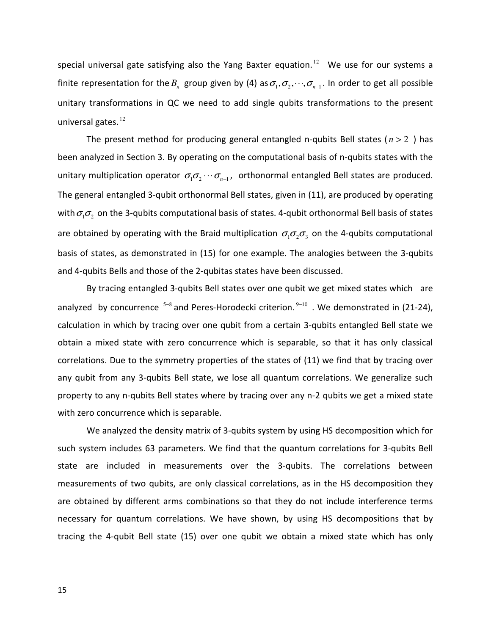special universal gate satisfying also the Yang Baxter equation.<sup>12</sup> We use for our systems a finite representation for the  $B_n$  group given by (4) as  $\sigma_1, \sigma_2, \dots, \sigma_{n-1}$ . In order to get all possible unitary transformations in QC we need to add single qubits transformations to the present universal gates.<sup>12</sup>

The present method for producing general entangled n-qubits Bell states ( $n > 2$ ) has been analyzed in Section 3. By operating on the computational basis of n-qubits states with the unitary multiplication operator  $\sigma_1 \sigma_2 \cdots \sigma_{n-1}$ , orthonormal entangled Bell states are produced. The general entangled 3-qubit orthonormal Bell states, given in (11), are produced by operating with  $\sigma_1 \sigma_2$  on the 3-qubits computational basis of states. 4-qubit orthonormal Bell basis of states are obtained by operating with the Braid multiplication  $\sigma_1 \sigma_2 \sigma_3$  on the 4-qubits computational basis of states, as demonstrated in (15) for one example. The analogies between the 3-qubits and 4-qubits Bells and those of the 2-qubitas states have been discussed.

 By tracing entangled 3-qubits Bell states over one qubit we get mixed states which are analyzed by concurrence <sup>5–8</sup> and Peres-Horodecki criterion.<sup>9–10</sup> . We demonstrated in (21-24), calculation in which by tracing over one qubit from a certain 3-qubits entangled Bell state we obtain a mixed state with zero concurrence which is separable, so that it has only classical correlations. Due to the symmetry properties of the states of (11) we find that by tracing over any qubit from any 3-qubits Bell state, we lose all quantum correlations. We generalize such property to any n-qubits Bell states where by tracing over any n-2 qubits we get a mixed state with zero concurrence which is separable.

 We analyzed the density matrix of 3-qubits system by using HS decomposition which for such system includes 63 parameters. We find that the quantum correlations for 3-qubits Bell state are included in measurements over the 3-qubits. The correlations between measurements of two qubits, are only classical correlations, as in the HS decomposition they are obtained by different arms combinations so that they do not include interference terms necessary for quantum correlations. We have shown, by using HS decompositions that by tracing the 4-qubit Bell state (15) over one qubit we obtain a mixed state which has only

15